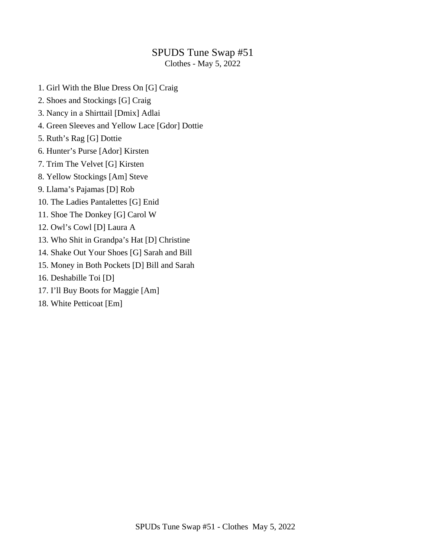## SPUDS Tune Swap #51

Clothes - May 5, 2022

- 1. Girl With the Blue Dress On [G] Craig
- 2. Shoes and Stockings [G] Craig
- 3. Nancy in a Shirttail [Dmix] Adlai
- 4. Green Sleeves and Yellow Lace [Gdor] Dottie
- 5. Ruth's Rag [G] Dottie
- 6. Hunter's Purse [Ador] Kirsten
- 7. Trim The Velvet [G] Kirsten
- 8. Yellow Stockings [Am] Steve
- 9. Llama's Pajamas [D] Rob
- 10. The Ladies Pantalettes [G] Enid
- 11. Shoe The Donkey [G] Carol W
- 12. Owl's Cowl [D] Laura A
- 13. Who Shit in Grandpa's Hat [D] Christine
- 14. Shake Out Your Shoes [G] Sarah and Bill
- 15. Money in Both Pockets [D] Bill and Sarah
- 16. Deshabille Toi [D]
- 17. I'll Buy Boots for Maggie [Am]
- 18. White Petticoat [Em]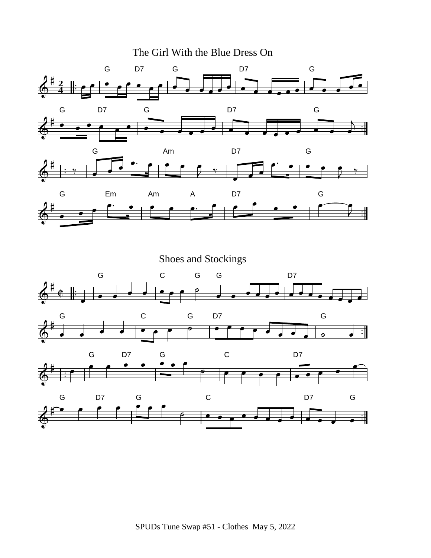The Girl With the Blue Dress On



Shoes and Stockings

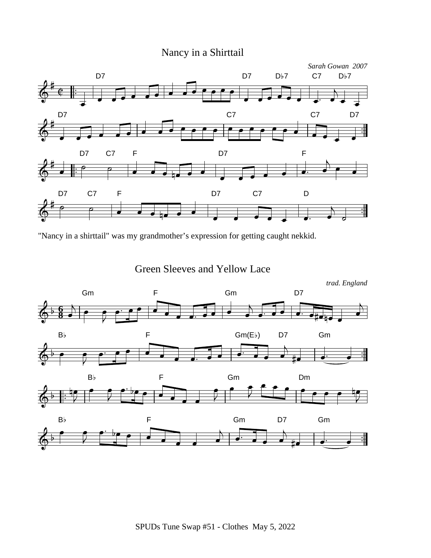# Nancy in a Shirttail



"Nancy in a shirttail" was my grandmother's expression for getting caught nekkid.

Green Sleeves and Yellow Lace

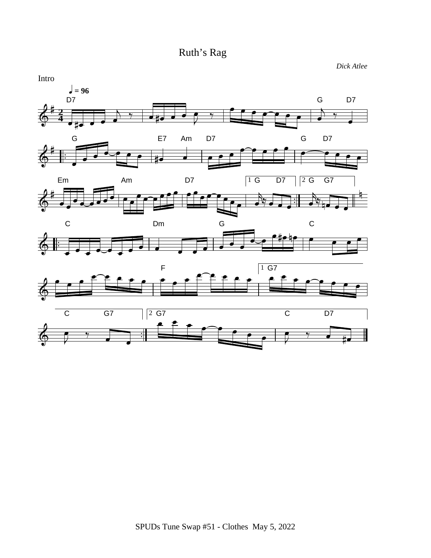

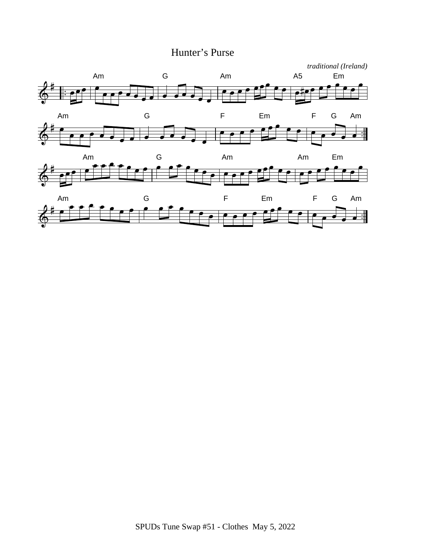## Hunter's Purse

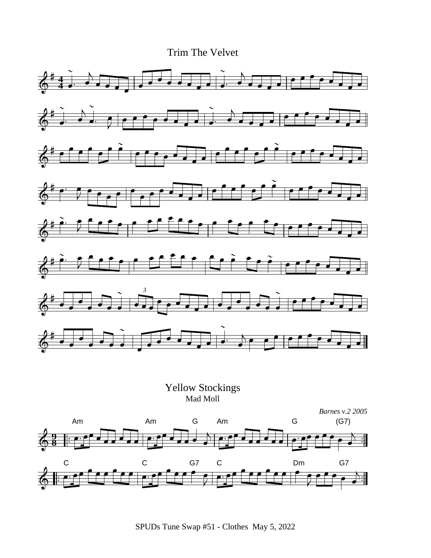Trim The Velvet

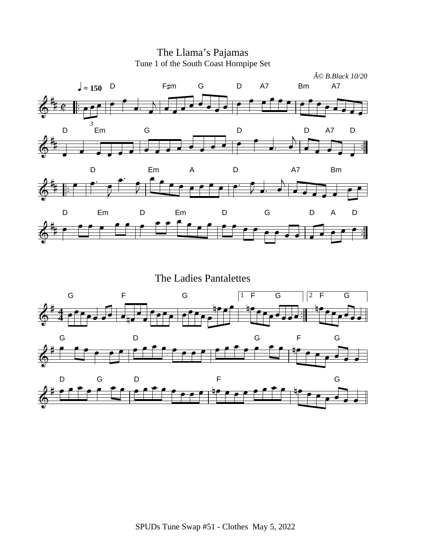

The Llama's Pajamas Tune 1 of the South Coast Hornpipe Set

The Ladies Pantalettes

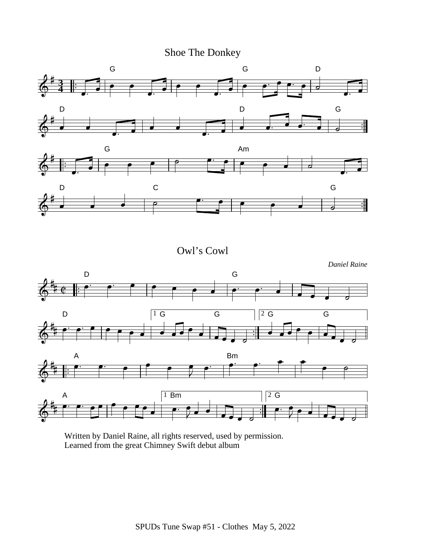Shoe The Donkey



Owl's Cowl

![](_page_7_Figure_3.jpeg)

Written by Daniel Raine, all rights reserved, used by permission. Learned from the great Chimney Swift debut album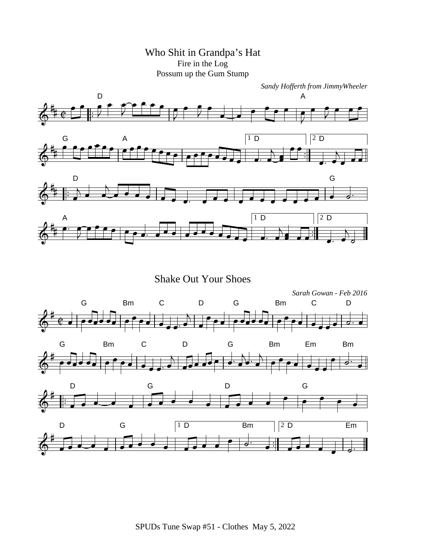Who Shit in Grandpa's Hat Fire in the Log Possum up the Gum Stump

![](_page_8_Figure_1.jpeg)

Shake Out Your Shoes

![](_page_8_Figure_3.jpeg)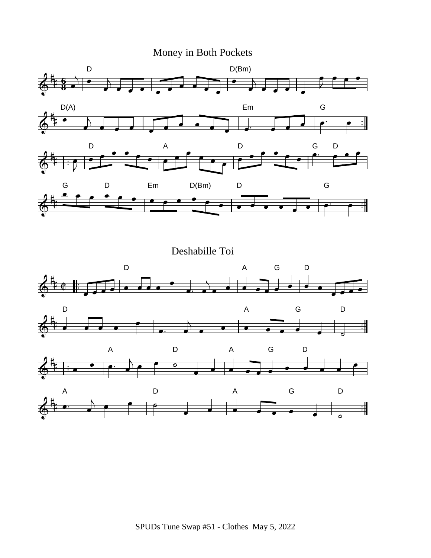# Money in Both Pockets

![](_page_9_Figure_1.jpeg)